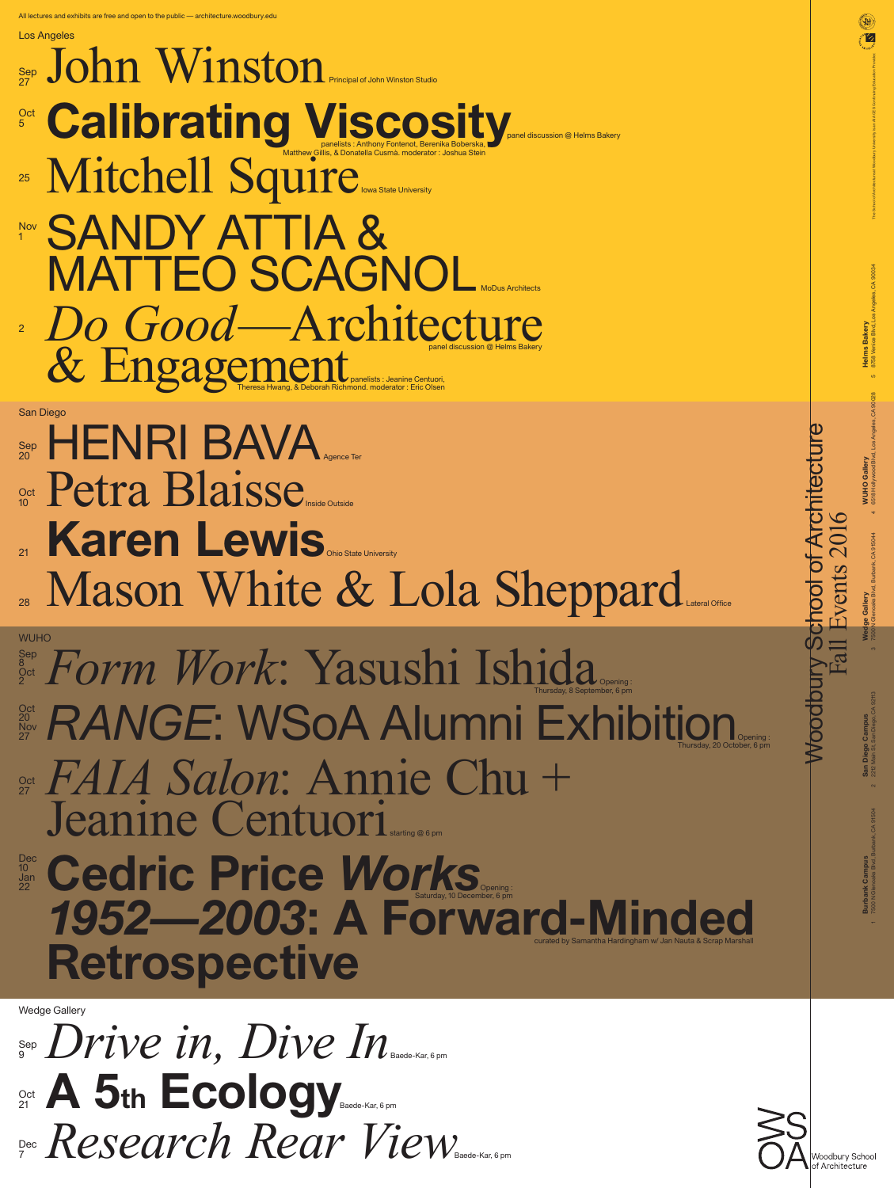*Drive in, Dive In* **A 5th Ecology** *Research Rear View* Baede-Kar, 6 pm Baede-Kar, 6 pm Sep 9 **Oct** 21 **Baede-Kar, 6 pm** Dec 7



 $\sim$ 

## *Form Work*: Yasushi Ishida **RANGE: WSoA Alumni Exhibition** *FAIA Salon*: Annie Chu + Jeanine Centuori **Cedric Price** *Works* **1952—2003: A Forward-Minded Retrospective** curated by Samantha Hardingham w/ Jan Nauta & Scrap Marshall starting @ 6 pm Opening : Opening : Thursday, 20 October, 6 pm Opening : Thursday, 8 September, 6 pm **Oct** 27 Sep 8 **Oct** 2 20 **Nov** 27 Dec 10 Jan 22 WUHO

## John Winston Calibrating Viscosity, Mitchell Squire SANDY ATTIA & MATTEO SCAGNOL Do Good—Architecture & Engagement HENRI BAVA Petra Blaisse **Karen Lewis** Mason White & Lola Sheppard Principal of John Winston Studio panel discussion @ Helms Bakery Iowa State University MoDus Architects Agence Ter Ohio State University 28 IVIUDUII VVIIIUU LUULUU LUIU DIIUPPULULUE Sep 27 **Oct** 5 Nov 1 25 2 Sep 20 **Oct**  $10$  **I**  $\bigcup$   $\bigcup$   $\bigcup$   $\bigcup$   $\bigcup$   $\bigcup$   $\bigcup$   $\bigcup$   $\bigcup$   $\bigcup$   $\bigcup$   $\bigcup$   $\bigcup$   $\bigcup$   $\bigcup$   $\bigcup$   $\bigcup$   $\bigcup$   $\bigcup$   $\bigcup$   $\bigcup$   $\bigcup$   $\bigcup$   $\bigcup$   $\bigcup$   $\bigcup$   $\bigcup$   $\bigcup$   $\bigcup$   $\bigcup$   $\bigcup$   $\bigcup$   $\bigcup$   $\bigcup$   $\bigcup$   $\$ 21 Los Angeles San Diego panelists : Anthony Fontenot, Berenika Boberska, Matthew Gillis, & Donatella Cusmà. moderator : Joshua Stein panelists : Jeanine Centuori, Theresa Hwang, & Deborah Richmond. moderator : Eric Olsen

Woodbury School of Architecture Fall Events 2016 ivent The School of Architecture at Woodbury University is an AIA CES Continuing Education Provider.

Wedge Gallery

**Burbank Campus**

**Burbank Campus**<br>7500 N Glenoaks Blvd, Bu

7500 N Glenoaks Blvd, Burbank, CA 91504 2

**San Diego Campus**

San Diego Campus<br>2212 Main St, San Diego,

2212 Main St, San Diego, CA 92113 3

**Wedge Gallery** 

7500 N Glenoaks Blvd, Burbank, CA 915044 4

**WUHO Gallery**

6518 Hollywood Blvd, Los Angeles, CA 90028 5

**Helms Bakery**

8758 Venice Blvd, Los Angeles, CA 90034